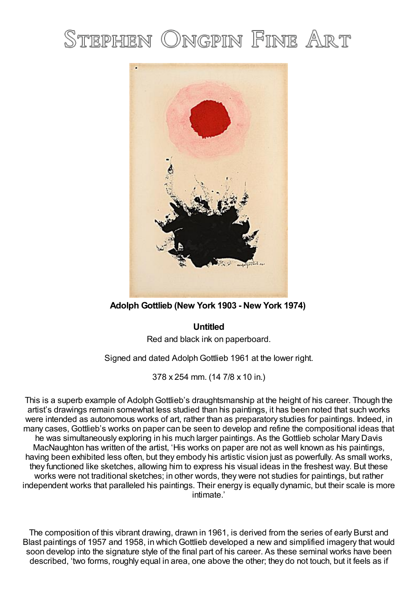# STEPHEN ONGPIN FINE ART



**Adolph Gottlieb (New York 1903 - New York 1974)**

# **Untitled**

Red and black ink on paperboard.

Signed and dated Adolph Gottlieb 1961 at the lower right.

378 x 254 mm. (14 7/8 x 10 in.)

This is a superb example of Adolph Gottlieb's draughtsmanship at the height of his career. Though the artist's drawings remain somewhat less studied than his paintings, it has been noted that such works were intended as autonomous works of art, rather than as preparatory studies for paintings. Indeed, in many cases, Gottlieb's works on paper can be seen to develop and refine the compositional ideas that he was simultaneously exploring in his much larger paintings. As the Gottlieb scholar Mary Davis MacNaughton has written of the artist, 'His works on paper are not as well known as his paintings, having been exhibited less often, but they embody his artistic vision just as powerfully. As small works, they functioned like sketches, allowing him to express his visual ideas in the freshest way. But these works were not traditional sketches; in other words, they were not studies for paintings, but rather independent works that paralleled his paintings. Their energy is equally dynamic, but their scale is more intimate.'

The composition of this vibrant drawing, drawn in 1961, is derived from the series of early Burst and Blast paintings of 1957 and 1958, in which Gottlieb developed a new and simplified imagery that would soon develop into the signature style of the final part of his career. As these seminal works have been described, 'two forms, roughly equal in area, one above the other; they do not touch, but it feels as if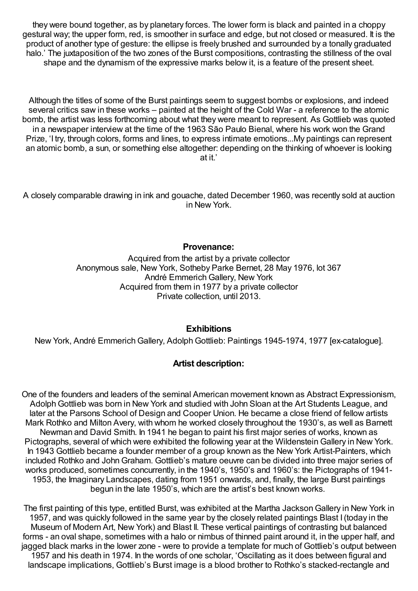they were bound together, as by planetary forces. The lower form is black and painted in a choppy gestural way; the upper form, red, is smoother in surface and edge, but not closed or measured. It is the product of another type of gesture: the ellipse is freely brushed and surrounded by a tonally graduated halo.' The juxtaposition of the two zones of the Burst compositions, contrasting the stillness of the oval shape and the dynamism of the expressive marks below it, is a feature of the present sheet.

Although the titles of some of the Burst paintings seem to suggest bombs or explosions, and indeed several critics saw in these works – painted at the height of the Cold War - a reference to the atomic bomb, the artist was less forthcoming about what they were meant to represent. As Gottlieb was quoted in a newspaper interview at the time of the 1963 São Paulo Bienal, where his work won the Grand Prize, 'I try, through colors, forms and lines, to express intimate emotions...My paintings can represent an atomic bomb, a sun, or something else altogether: depending on the thinking of whoever is looking at it.'

A closely comparable drawing in ink and gouache, dated December 1960, was recently sold at auction in New York.

#### **Provenance:**

Acquired from the artist by a private collector Anonymous sale, New York, Sotheby Parke Bernet, 28 May 1976, lot 367 André Emmerich Gallery, New York Acquired from them in 1977 by a private collector Private collection, until 2013.

## **Exhibitions**

New York, André Emmerich Gallery, Adolph Gottlieb: Paintings 1945-1974, 1977 [ex-catalogue].

## **Artist description:**

One of the founders and leaders of the seminal American movement known as Abstract Expressionism, AdolphGottlieb was born in New York and studied with John Sloan at the Art Students League, and later at the Parsons School of Design and Cooper Union. He became a close friend of fellow artists Mark Rothko and Milton Avery, with whom he worked closely throughout the 1930's, as well as Barnett Newman and David Smith. In 1941 he began to paint his first major series of works, known as Pictographs, several of which were exhibited the following year at the Wildenstein Gallery in New York. In 1943 Gottlieb became a founder member of a group known as the New York Artist-Painters, which included Rothko and JohnGraham. Gottlieb's mature oeuvre can be divided into three major series of works produced, sometimes concurrently, in the 1940's, 1950's and 1960's: the Pictographs of 1941- 1953, the Imaginary Landscapes, dating from 1951 onwards, and, finally, the large Burst paintings begun in the late 1950's, which are the artist's best known works.

The first painting of this type, entitled Burst, was exhibited at the Martha JacksonGallery in New York in 1957, and was quickly followed in the same year by the closely related paintings Blast I(today in the Museum of Modern Art, New York) and Blast II. These vertical paintings of contrasting but balanced forms - an oval shape, sometimes with a halo or nimbus of thinned paint around it, in the upper half, and jagged black marks in the lower zone - were to provide a template for much of Gottlieb's output between 1957 and his death in 1974. In the words of one scholar, 'Oscillating as it does between figural and landscape implications, Gottlieb's Burst image is a blood brother to Rothko's stacked-rectangle and